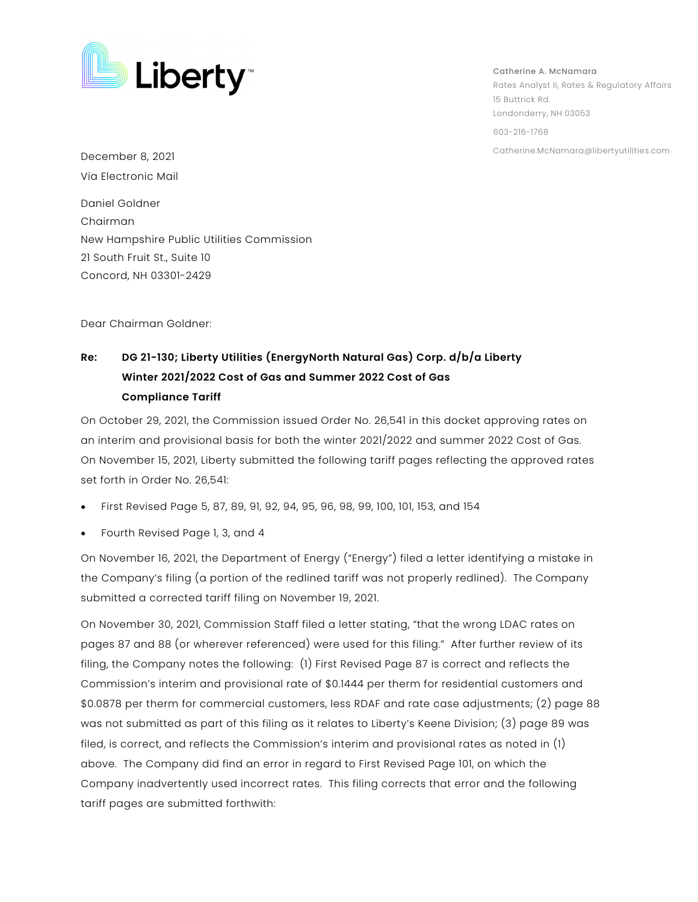

Catherine A. McNamara Rates Analyst II, Rates & Regulatory Affairs 15 Buttrick Rd. Londonderry, NH 03053 603-216-1768

Catherine.McNamara@libertyutilities.com December 8, 2021 Via Electronic Mail Daniel Goldner Chairman New Hampshire Public Utilities Commission 21 South Fruit St., Suite 10 Concord, NH 03301-2429

Dear Chairman Goldner:

## **Re: DG 21-130; Liberty Utilities (EnergyNorth Natural Gas) Corp. d/b/a Liberty Winter 2021/2022 Cost of Gas and Summer 2022 Cost of Gas Compliance Tariff**

On October 29, 2021, the Commission issued Order No. 26,541 in this docket approving rates on an interim and provisional basis for both the winter 2021/2022 and summer 2022 Cost of Gas. On November 15, 2021, Liberty submitted the following tariff pages reflecting the approved rates set forth in Order No. 26,541:

- First Revised Page 5, 87, 89, 91, 92, 94, 95, 96, 98, 99, 100, 101, 153, and 154
- Fourth Revised Page 1, 3, and 4

On November 16, 2021, the Department of Energy ("Energy") filed a letter identifying a mistake in the Company's filing (a portion of the redlined tariff was not properly redlined). The Company submitted a corrected tariff filing on November 19, 2021.

On November 30, 2021, Commission Staff filed a letter stating, "that the wrong LDAC rates on pages 87 and 88 (or wherever referenced) were used for this filing." After further review of its filing, the Company notes the following: (1) First Revised Page 87 is correct and reflects the Commission's interim and provisional rate of \$0.1444 per therm for residential customers and \$0.0878 per therm for commercial customers, less RDAF and rate case adjustments; (2) page 88 was not submitted as part of this filing as it relates to Liberty's Keene Division; (3) page 89 was filed, is correct, and reflects the Commission's interim and provisional rates as noted in (1) above. The Company did find an error in regard to First Revised Page 101, on which the Company inadvertently used incorrect rates. This filing corrects that error and the following tariff pages are submitted forthwith: